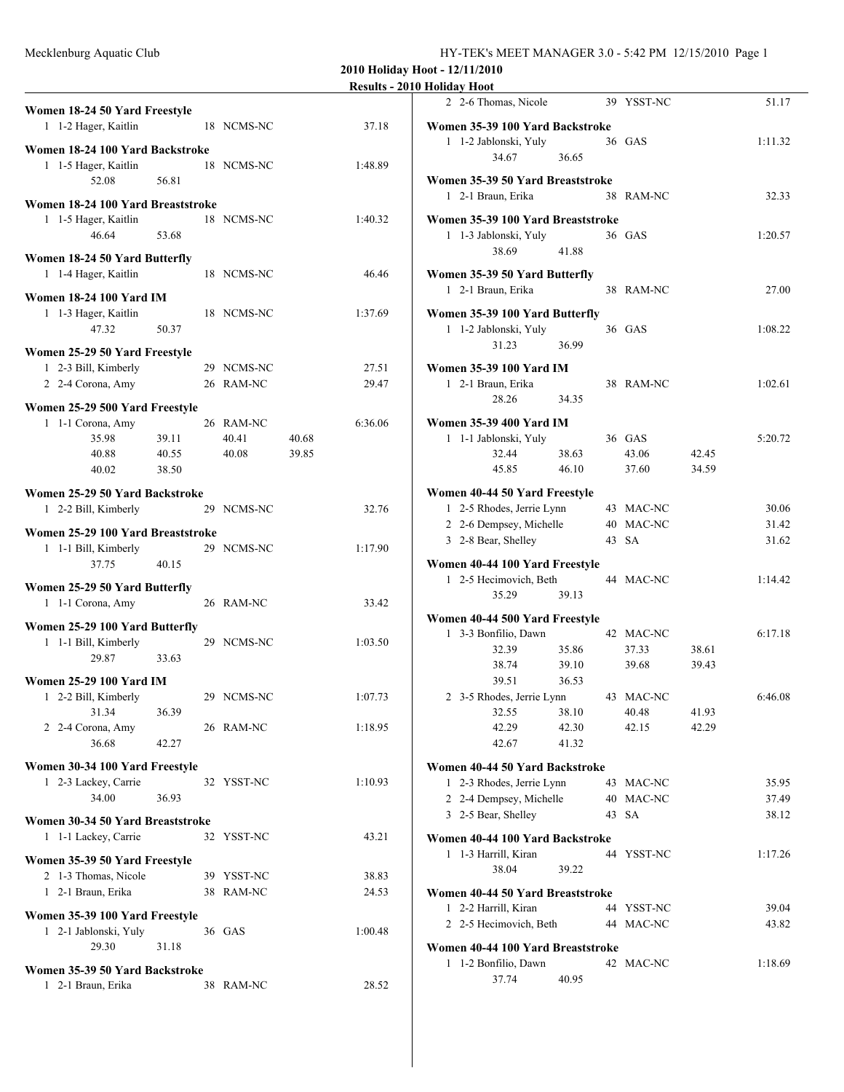|                                                        |       |            |       |         | <b>Results - 2010 Holiday Hoot</b> |
|--------------------------------------------------------|-------|------------|-------|---------|------------------------------------|
| Women 18-24 50 Yard Freestyle                          |       |            |       |         | 2 2-6 Tho:                         |
| 1 1-2 Hager, Kaitlin                                   |       | 18 NCMS-NC |       | 37.18   | <b>Women 35-39</b>                 |
| Women 18-24 100 Yard Backstroke                        |       |            |       |         | $1 \quad 1-2$ Jabl                 |
| 1 1-5 Hager, Kaitlin                                   |       | 18 NCMS-NC |       | 1:48.89 |                                    |
| 52.08                                                  | 56.81 |            |       |         | <b>Women 35-39</b><br>1 2-1 Brau   |
| Women 18-24 100 Yard Breaststroke                      |       |            |       |         |                                    |
| 1 1-5 Hager, Kaitlin                                   |       | 18 NCMS-NC |       | 1:40.32 | <b>Women 35-39</b>                 |
| 46.64                                                  | 53.68 |            |       |         | $1 \t1-3$ Jabl                     |
| Women 18-24 50 Yard Butterfly                          |       |            |       |         |                                    |
| 1 1-4 Hager, Kaitlin                                   |       | 18 NCMS-NC |       | 46.46   | <b>Women 35-39</b>                 |
| <b>Women 18-24 100 Yard IM</b>                         |       |            |       |         | 1 2-1 Brau                         |
| 1 1-3 Hager, Kaitlin                                   |       | 18 NCMS-NC |       | 1:37.69 | <b>Women 35-39</b>                 |
| 47.32                                                  | 50.37 |            |       |         | $1 \t1-2$ Jabl                     |
| Women 25-29 50 Yard Freestyle                          |       |            |       |         |                                    |
| 1 2-3 Bill, Kimberly                                   |       | 29 NCMS-NC |       | 27.51   | <b>Women 35-39</b>                 |
| 2 2-4 Corona, Amy                                      |       | 26 RAM-NC  |       | 29.47   | 1 2-1 Brau                         |
|                                                        |       |            |       |         |                                    |
| Women 25-29 500 Yard Freestyle<br>1 1-1 Corona, Amy    |       | 26 RAM-NC  |       | 6:36.06 | <b>Women 35-39</b>                 |
| 35.98                                                  | 39.11 | 40.41      | 40.68 |         | $1$ 1-1 Jabl                       |
| 40.88                                                  | 40.55 | 40.08      | 39.85 |         |                                    |
| 40.02                                                  | 38.50 |            |       |         |                                    |
|                                                        |       |            |       |         |                                    |
| Women 25-29 50 Yard Backstroke<br>1 2-2 Bill, Kimberly |       | 29 NCMS-NC |       | 32.76   | <b>Women 40-44</b><br>1 2-5 Rho    |
|                                                        |       |            |       |         | 2 2-6 Den                          |
| Women 25-29 100 Yard Breaststroke                      |       |            |       |         | 3 2-8 Bear                         |
| 1 1-1 Bill, Kimberly                                   |       | 29 NCMS-NC |       | 1:17.90 |                                    |
| 37.75                                                  | 40.15 |            |       |         | <b>Women 40-44</b><br>1 2-5 Hec    |
| Women 25-29 50 Yard Butterfly                          |       |            |       |         |                                    |
| 1 1-1 Corona, Amy                                      |       | 26 RAM-NC  |       | 33.42   |                                    |
| Women 25-29 100 Yard Butterfly                         |       |            |       |         | <b>Women 40-44</b>                 |
| 1 1-1 Bill, Kimberly                                   |       | 29 NCMS-NC |       | 1:03.50 | 1 3-3 Bon                          |
| 29.87                                                  | 33.63 |            |       |         |                                    |
| <b>Women 25-29 100 Yard IM</b>                         |       |            |       |         |                                    |
| 1 2-2 Bill, Kimberly                                   |       | 29 NCMS-NC |       | 1:07.73 | 2 3-5 Rho                          |
| 31.34                                                  | 36.39 |            |       |         |                                    |
| 2 2-4 Corona, Amy                                      |       | 26 RAM-NC  |       | 1:18.95 |                                    |
| 36.68                                                  | 42.27 |            |       |         |                                    |
| Women 30-34 100 Yard Freestyle                         |       |            |       |         | <b>Women 40-44</b>                 |
| 1 2-3 Lackey, Carrie                                   |       | 32 YSST-NC |       | 1:10.93 | 1 2-3 Rho                          |
| 34.00                                                  | 36.93 |            |       |         | 2 2-4 Den                          |
| Women 30-34 50 Yard Breaststroke                       |       |            |       |         | 3 2-5 Bear                         |
| 1 1-1 Lackey, Carrie                                   |       | 32 YSST-NC |       | 43.21   | <b>Women 40-44</b>                 |
|                                                        |       |            |       |         | $1 \t1-3$ Harr                     |
| Women 35-39 50 Yard Freestyle                          |       |            |       |         |                                    |
| 2 1-3 Thomas, Nicole                                   |       | 39 YSST-NC |       | 38.83   |                                    |
| 1 2-1 Braun, Erika                                     |       | 38 RAM-NC  |       | 24.53   | <b>Women 40-44</b><br>$12-2$ Harr  |
| Women 35-39 100 Yard Freestyle                         |       |            |       |         | 2 2-5 Hec                          |
| 1 2-1 Jablonski, Yuly                                  |       | 36 GAS     |       | 1:00.48 |                                    |
| 29.30                                                  | 31.18 |            |       |         | <b>Women 40-44</b>                 |
| Women 35-39 50 Yard Backstroke                         |       |            |       |         | 1 1-2 Bon                          |
| 1 2-1 Braun, Erika                                     |       | 38 RAM-NC  |       | 28.52   |                                    |
|                                                        |       |            |       |         |                                    |

| понаау поос                       |       |            |       |         |
|-----------------------------------|-------|------------|-------|---------|
| 2 2-6 Thomas, Nicole              |       | 39 YSST-NC |       | 51.17   |
|                                   |       |            |       |         |
| Women 35-39 100 Yard Backstroke   |       |            |       |         |
| 1 1-2 Jablonski, Yuly             |       | 36 GAS     |       | 1:11.32 |
| 34.67                             | 36.65 |            |       |         |
|                                   |       |            |       |         |
| Women 35-39 50 Yard Breaststroke  |       |            |       |         |
| 1 2-1 Braun, Erika                |       | 38 RAM-NC  |       | 32.33   |
|                                   |       |            |       |         |
| Women 35-39 100 Yard Breaststroke |       |            |       |         |
| 1 1-3 Jablonski, Yuly             |       | 36 GAS     |       | 1:20.57 |
| 38.69                             | 41.88 |            |       |         |
|                                   |       |            |       |         |
| Women 35-39 50 Yard Butterfly     |       |            |       |         |
| 1 2-1 Braun, Erika                |       | 38 RAM-NC  |       | 27.00   |
|                                   |       |            |       |         |
| Women 35-39 100 Yard Butterfly    |       |            |       |         |
| 1 1-2 Jablonski, Yuly             |       | 36 GAS     |       | 1:08.22 |
| 31.23                             | 36.99 |            |       |         |
|                                   |       |            |       |         |
| Women 35-39 100 Yard IM           |       |            |       |         |
| 1 2-1 Braun, Erika                |       | 38 RAM-NC  |       | 1:02.61 |
| 28.26                             | 34.35 |            |       |         |
|                                   |       |            |       |         |
| Women 35-39 400 Yard IM           |       |            |       |         |
| 1-1 Jablonski, Yuly<br>1          |       | 36 GAS     |       | 5:20.72 |
| 32.44                             | 38.63 | 43.06      | 42.45 |         |
| 45.85                             | 46.10 | 37.60      | 34.59 |         |
|                                   |       |            |       |         |
| Women 40-44 50 Yard Freestyle     |       |            |       |         |
| 1 2-5 Rhodes, Jerrie Lynn         |       | 43 MAC-NC  |       | 30.06   |
| 2 2-6 Dempsey, Michelle           |       | 40 MAC-NC  |       | 31.42   |
| 3 2-8 Bear, Shelley               |       | 43 SA      |       | 31.62   |
|                                   |       |            |       |         |
| Women 40-44 100 Yard Freestyle    |       |            |       |         |
| 1 2-5 Hecimovich, Beth            |       | 44 MAC-NC  |       | 1:14.42 |
| 35.29                             | 39.13 |            |       |         |
|                                   |       |            |       |         |
| Women 40-44 500 Yard Freestyle    |       |            |       |         |
| 1 3-3 Bonfilio, Dawn              |       | 42 MAC-NC  |       | 6:17.18 |
| 32.39                             | 35.86 | 37.33      | 38.61 |         |
| 38.74                             | 39.10 | 39.68      | 39.43 |         |
| 39.51                             | 36.53 |            |       |         |
|                                   |       |            |       |         |
| 2 3-5 Rhodes, Jerrie Lynn         |       | 43 MAC-NC  |       | 6:46.08 |
| 32.55                             | 38.10 | 40.48      | 41.93 |         |
| 42.29                             | 42.30 | 42.15      | 42.29 |         |
| 42.67                             | 41.32 |            |       |         |
|                                   |       |            |       |         |
| Women 40-44 50 Yard Backstroke    |       |            |       |         |
| 1 2-3 Rhodes, Jerrie Lynn         |       | 43 MAC-NC  |       | 35.95   |
| 2 2-4 Dempsey, Michelle           |       | 40 MAC-NC  |       | 37.49   |
| 3 2-5 Bear, Shelley               |       | 43 SA      |       | 38.12   |
|                                   |       |            |       |         |
| Women 40-44 100 Yard Backstroke   |       |            |       |         |
| 1 1-3 Harrill, Kiran              |       | 44 YSST-NC |       | 1:17.26 |
| 38.04                             | 39.22 |            |       |         |
|                                   |       |            |       |         |
| Women 40-44 50 Yard Breaststroke  |       |            |       |         |
| 1 2-2 Harrill, Kiran              |       | 44 YSST-NC |       | 39.04   |
| 2 2-5 Hecimovich, Beth            |       | 44 MAC-NC  |       | 43.82   |
|                                   |       |            |       |         |
| Women 40-44 100 Yard Breaststroke |       |            |       |         |
| 1 1-2 Bonfilio, Dawn              |       | 42 MAC-NC  |       | 1:18.69 |
| 37.74                             | 40.95 |            |       |         |
|                                   |       |            |       |         |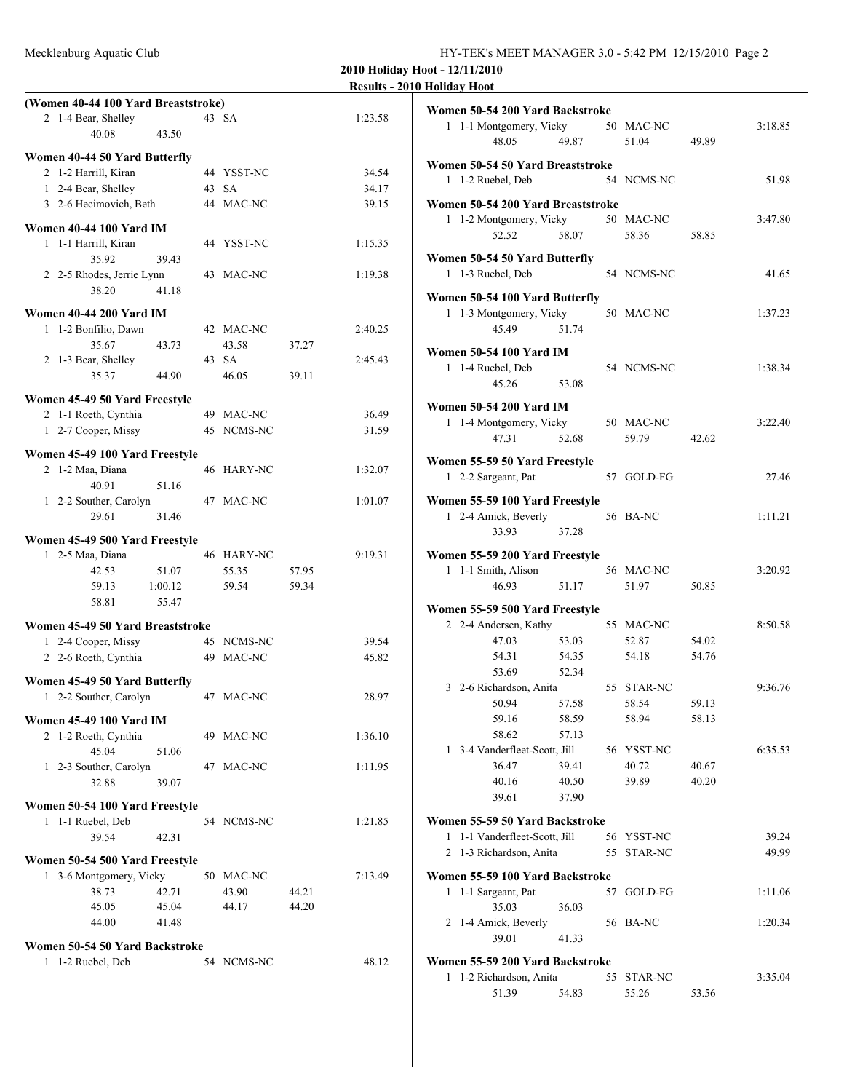| Mecklenburg Aquatic Club | HY-TEK's MEET MANAGER 3.0 - 5:42 PM 12/15/2010 Page 2 |  |
|--------------------------|-------------------------------------------------------|--|
|                          |                                                       |  |

|                                     |       |            |       | Results - 201 |  |
|-------------------------------------|-------|------------|-------|---------------|--|
| (Women 40-44 100 Yard Breaststroke) |       |            |       |               |  |
| 2 1-4 Bear, Shelley                 |       | 43 SA      |       | 1:23.58       |  |
| 40.08                               | 43.50 |            |       |               |  |
| Women 40-44 50 Yard Butterfly       |       |            |       |               |  |
| 2 1-2 Harrill, Kiran                |       | 44 YSST-NC |       | 34.54         |  |
| 1 2-4 Bear, Shelley                 |       | 43 SA      |       | 34.17         |  |
| 3 2-6 Hecimovich, Beth              |       | 44 MAC-NC  |       | 39.15         |  |
|                                     |       |            |       |               |  |
| Women 40-44 100 Yard IM             |       |            |       |               |  |
| 1 1-1 Harrill, Kiran                |       | 44 YSST-NC |       | 1:15.35       |  |
| 35.92                               | 39.43 |            |       |               |  |
| 2 2-5 Rhodes, Jerrie Lynn           |       | 43 MAC-NC  |       | 1:19.38       |  |
| 38.20                               | 41.18 |            |       |               |  |
| <b>Women 40-44 200 Yard IM</b>      |       |            |       |               |  |
| 1 1-2 Bonfilio, Dawn                |       | 42 MAC-NC  |       | 2:40.25       |  |
| 35.67                               | 43.73 | 43.58      | 37.27 |               |  |
| 2 1-3 Bear, Shelley                 |       | 43 SA      |       | 2:45.43       |  |
| 35.37                               | 44.90 | 46.05      | 39.11 |               |  |
| Women 45-49 50 Yard Freestyle       |       |            |       |               |  |
| 2 1-1 Roeth, Cynthia                |       | 49 MAC-NC  |       | 36.49         |  |
| 1 2-7 Cooper, Missy                 |       | 45 NCMS-NC |       | 31.59         |  |
|                                     |       |            |       |               |  |
| Women 45-49 100 Yard Freestyle      |       |            |       |               |  |
| 2 1-2 Maa, Diana                    |       | 46 HARY-NC |       | 1:32.07       |  |
| 40.91                               | 51.16 |            |       |               |  |
| 1 2-2 Souther, Carolyn              |       | 47 MAC-NC  |       | 1:01.07       |  |
| 29.61                               | 31.46 |            |       |               |  |
| Women 45-49 500 Yard Freestyle      |       |            |       |               |  |
| 1 2-5 Maa, Diana                    |       | 46 HARY-NC |       | 9:19.31       |  |
| 42.53                               | 51.07 | 55.35      | 57.95 |               |  |
| 59.13<br>1:00.12                    |       | 59.54      | 59.34 |               |  |
| 58.81                               | 55.47 |            |       |               |  |
| Women 45-49 50 Yard Breaststroke    |       |            |       |               |  |
| 1 2-4 Cooper, Missy                 |       | 45 NCMS-NC |       | 39.54         |  |
| 2 2-6 Roeth, Cynthia                |       | 49 MAC-NC  |       | 45.82         |  |
|                                     |       |            |       |               |  |
| Women 45-49 50 Yard Butterfly       |       |            |       |               |  |
| 1 2-2 Souther, Carolyn              |       | 47 MAC-NC  |       | 28.97         |  |
| <b>Women 45-49 100 Yard IM</b>      |       |            |       |               |  |
| 2 1-2 Roeth, Cynthia                |       | 49 MAC-NC  |       | 1:36.10       |  |
| 45.04                               | 51.06 |            |       |               |  |
| 1 2-3 Souther, Carolyn              |       | 47 MAC-NC  |       | 1:11.95       |  |
| 32.88                               | 39.07 |            |       |               |  |
| Women 50-54 100 Yard Freestyle      |       |            |       |               |  |
| 1 1-1 Ruebel, Deb                   |       | 54 NCMS-NC |       | 1:21.85       |  |
| 39.54<br>42.31                      |       |            |       |               |  |
|                                     |       |            |       |               |  |
| Women 50-54 500 Yard Freestyle      |       |            |       |               |  |
| 1 3-6 Montgomery, Vicky             |       | 50 MAC-NC  |       | 7:13.49       |  |
| 38.73                               | 42.71 | 43.90      | 44.21 |               |  |
| 45.05                               | 45.04 | 44.17      | 44.20 |               |  |
| 44.00                               | 41.48 |            |       |               |  |
| Women 50-54 50 Yard Backstroke      |       |            |       |               |  |
| 1 1-2 Ruebel, Deb                   |       | 54 NCMS-NC |       | 48.12         |  |
|                                     |       |            |       |               |  |
|                                     |       |            |       |               |  |
|                                     |       |            |       |               |  |

| 10 Holiday Hoot                                            |                |                     |                |         |
|------------------------------------------------------------|----------------|---------------------|----------------|---------|
| Women 50-54 200 Yard Backstroke                            |                |                     |                |         |
| 1 1-1 Montgomery, Vicky                                    |                | 50 MAC-NC           |                | 3:18.85 |
| 48.05                                                      | 49.87          | 51.04               | 49.89          |         |
|                                                            |                |                     |                |         |
| Women 50-54 50 Yard Breaststroke                           |                |                     |                |         |
| 1 1-2 Ruebel, Deb                                          |                | 54 NCMS-NC          |                | 51.98   |
| Women 50-54 200 Yard Breaststroke                          |                |                     |                |         |
| 1 1-2 Montgomery, Vicky                                    |                | 50 MAC-NC           |                | 3:47.80 |
| 52.52                                                      | 58.07          | 58.36               | 58.85          |         |
|                                                            |                |                     |                |         |
| Women 50-54 50 Yard Butterfly                              |                |                     |                |         |
| 1 1-3 Ruebel, Deb                                          |                | 54 NCMS-NC          |                | 41.65   |
| Women 50-54 100 Yard Butterfly                             |                |                     |                |         |
| 1 1-3 Montgomery, Vicky                                    |                | 50 MAC-NC           |                | 1:37.23 |
| 45.49                                                      | 51.74          |                     |                |         |
| <b>Women 50-54 100 Yard IM</b>                             |                |                     |                |         |
| 1 1-4 Ruebel, Deb                                          |                | 54 NCMS-NC          |                | 1:38.34 |
| 45.26                                                      | 53.08          |                     |                |         |
|                                                            |                |                     |                |         |
| <b>Women 50-54 200 Yard IM</b>                             |                |                     |                |         |
| 1 1-4 Montgomery, Vicky                                    |                | 50 MAC-NC           |                | 3:22.40 |
| 47.31                                                      | 52.68          | 59.79               | 42.62          |         |
| Women 55-59 50 Yard Freestyle                              |                |                     |                |         |
| 1 2-2 Sargeant, Pat                                        |                | 57 GOLD-FG          |                | 27.46   |
| Women 55-59 100 Yard Freestyle                             |                |                     |                |         |
| 1 2-4 Amick, Beverly                                       |                | 56 BA-NC            |                | 1:11.21 |
| 33.93                                                      | 37.28          |                     |                |         |
| Women 55-59 200 Yard Freestyle                             |                |                     |                |         |
| 1 1-1 Smith, Alison                                        |                | 56 MAC-NC           |                | 3:20.92 |
| 46.93                                                      | 51.17          | 51.97               | 50.85          |         |
|                                                            |                |                     |                |         |
| Women 55-59 500 Yard Freestyle                             |                |                     |                |         |
| 2 2-4 Andersen, Kathy                                      |                | 55 MAC-NC           |                | 8:50.58 |
| 47.03                                                      | 53.03          | 52.87               | 54.02          |         |
| 54.31                                                      | 54.35          | 54.18               | 54.76          |         |
| 53.69<br>3 2-6 Richardson, Anita                           | 52.34          | 55 STAR-NC          |                | 9:36.76 |
|                                                            |                | 58.54               |                |         |
| 50.94<br>59.16                                             | 57.58<br>58.59 | 58.94               | 59.13<br>58.13 |         |
| 58.62                                                      | 57.13          |                     |                |         |
|                                                            |                |                     |                |         |
| 1 3-4 Vanderfleet-Scott, Jill<br>36.47                     | 39.41          | 56 YSST-NC<br>40.72 |                | 6:35.53 |
| 40.16                                                      |                | 39.89               | 40.67<br>40.20 |         |
| 39.61                                                      | 40.50<br>37.90 |                     |                |         |
|                                                            |                |                     |                |         |
| Women 55-59 50 Yard Backstroke                             |                |                     |                |         |
| 1 1-1 Vanderfleet-Scott, Jill                              |                | 56 YSST-NC          |                | 39.24   |
| 2 1-3 Richardson, Anita                                    |                | 55 STAR-NC          |                | 49.99   |
| Women 55-59 100 Yard Backstroke                            |                |                     |                |         |
| 1-1 Sargeant, Pat<br>1                                     |                | 57 GOLD-FG          |                | 1:11.06 |
| 35.03                                                      | 36.03          |                     |                |         |
| 2 1-4 Amick, Beverly                                       |                | 56 BA-NC            |                | 1:20.34 |
| 39.01                                                      | 41.33          |                     |                |         |
|                                                            |                |                     |                |         |
| Women 55-59 200 Yard Backstroke<br>1 1-2 Richardson, Anita |                | 55 STAR-NC          |                | 3:35.04 |
| 51.39                                                      | 54.83          | 55.26               | 53.56          |         |
|                                                            |                |                     |                |         |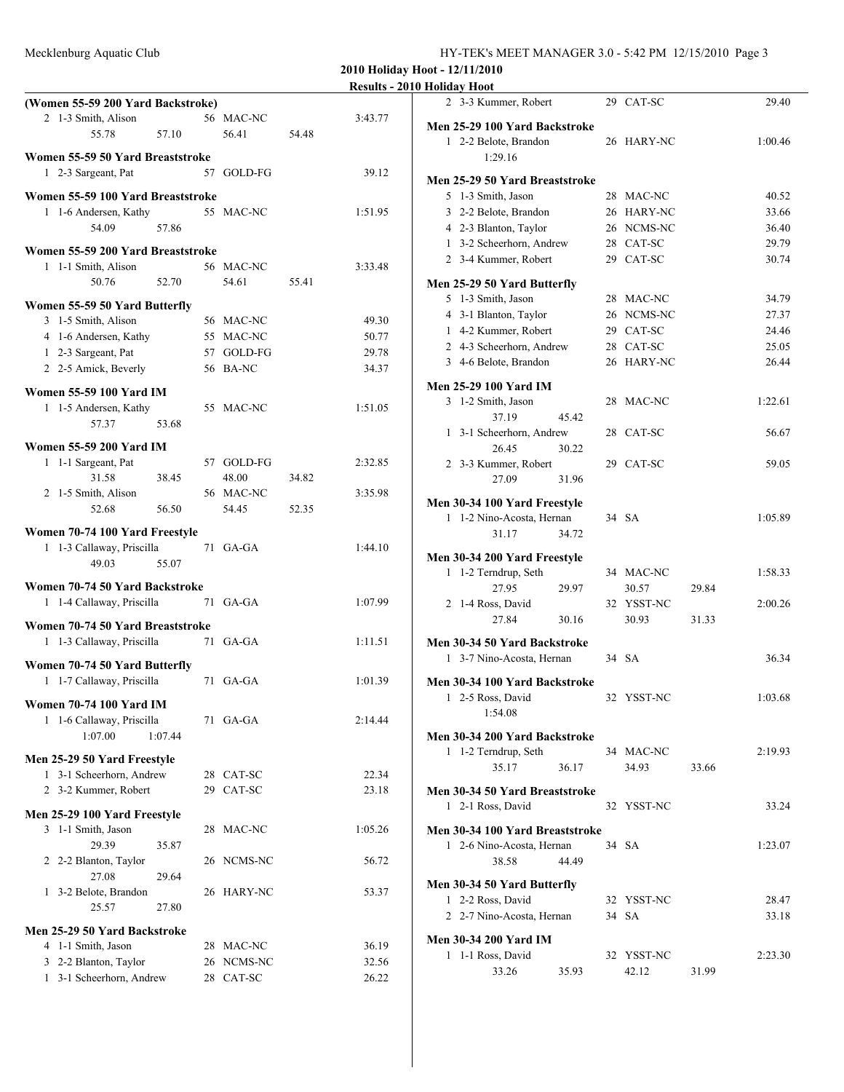Mecklenburg Aquatic Club

| HY-TEK's MEET MANAGER 3.0 - 5:42 PM 12/15/2010 Page 3 |  |
|-------------------------------------------------------|--|
|-------------------------------------------------------|--|

| <b>Results - 2010 Holiday Hoot</b> |  |  |
|------------------------------------|--|--|
|                                    |  |  |

|                                    | (Women 55-59 200 Yard Backstroke) |    |            |       |         |  |  |
|------------------------------------|-----------------------------------|----|------------|-------|---------|--|--|
| 2 1-3 Smith, Alison                |                                   |    | 56 MAC-NC  |       | 3:43.77 |  |  |
| 5578                               | 57.10                             |    | 56.41      | 54.48 |         |  |  |
| Women 55-59 50 Yard Breaststroke   |                                   |    |            |       |         |  |  |
| 1 2-3 Sargeant, Pat                |                                   |    | 57 GOLD-FG |       | 39.12   |  |  |
|                                    |                                   |    |            |       |         |  |  |
| Women 55-59 100 Yard Breaststroke  |                                   |    |            |       |         |  |  |
| 1 1-6 Andersen, Kathy              |                                   |    | 55 MAC-NC  |       | 1:51.95 |  |  |
| 54.09                              | 57.86                             |    |            |       |         |  |  |
| Women 55-59 200 Yard Breaststroke  |                                   |    |            |       |         |  |  |
| 1 1-1 Smith, Alison                |                                   |    | 56 MAC-NC  |       | 3:33.48 |  |  |
| 50.76                              | 52.70                             |    | 54.61      | 55.41 |         |  |  |
| Women 55-59 50 Yard Butterfly      |                                   |    |            |       |         |  |  |
| 3 1-5 Smith, Alison                |                                   |    | 56 MAC-NC  |       | 49.30   |  |  |
| 4 1-6 Andersen, Kathy              |                                   |    | 55 MAC-NC  |       | 50.77   |  |  |
| 1 2-3 Sargeant, Pat                |                                   |    | 57 GOLD-FG |       | 29.78   |  |  |
| 2 2-5 Amick, Beverly               |                                   |    | 56 BA-NC   |       | 34.37   |  |  |
| <b>Women 55-59 100 Yard IM</b>     |                                   |    |            |       |         |  |  |
| 1 1-5 Andersen, Kathy              |                                   |    | 55 MAC-NC  |       | 1:51.05 |  |  |
| 57.37                              | 53.68                             |    |            |       |         |  |  |
| <b>Women 55-59 200 Yard IM</b>     |                                   |    |            |       |         |  |  |
| 1 1-1 Sargeant, Pat                |                                   |    | 57 GOLD-FG |       | 2:32.85 |  |  |
| 31.58                              | 38.45                             |    | 48.00      | 34.82 |         |  |  |
| 2 1-5 Smith, Alison                |                                   |    | 56 MAC-NC  |       | 3:35.98 |  |  |
| 52.68                              | 56.50                             |    | 54.45      | 52.35 |         |  |  |
|                                    |                                   |    |            |       |         |  |  |
| Women 70-74 100 Yard Freestyle     |                                   |    | $71$ GA-GA |       |         |  |  |
| 1 1-3 Callaway, Priscilla<br>49.03 | 55.07                             |    |            |       | 1:44.10 |  |  |
|                                    |                                   |    |            |       |         |  |  |
| Women 70-74 50 Yard Backstroke     |                                   |    |            |       |         |  |  |
| 1 1-4 Callaway, Priscilla          |                                   |    | 71 GA-GA   |       | 1:07.99 |  |  |
| Women 70-74 50 Yard Breaststroke   |                                   |    |            |       |         |  |  |
| 1 1-3 Callaway, Priscilla          |                                   |    | 71 GA-GA   |       | 1:11.51 |  |  |
| Women 70-74 50 Yard Butterfly      |                                   |    |            |       |         |  |  |
| 1-7 Callaway, Priscilla<br>1       |                                   |    | $71$ GA-GA |       | 1:01.39 |  |  |
|                                    |                                   |    |            |       |         |  |  |
| <b>Women 70-74 100 Yard IM</b>     |                                   |    |            |       |         |  |  |
| 1-6 Callaway, Priscilla<br>1       |                                   |    | 71 GA-GA   |       | 2:14.44 |  |  |
| 1:07.00                            | 1:07.44                           |    |            |       |         |  |  |
| Men 25-29 50 Yard Freestyle        |                                   |    |            |       |         |  |  |
| 1 3-1 Scheerhorn, Andrew           |                                   |    | 28 CAT-SC  |       | 22.34   |  |  |
| 2 3-2 Kummer, Robert               |                                   |    | 29 CAT-SC  |       | 23.18   |  |  |
| Men 25-29 100 Yard Freestyle       |                                   |    |            |       |         |  |  |
| 3 1-1 Smith, Jason                 |                                   |    | 28 MAC-NC  |       | 1:05.26 |  |  |
| 29.39                              | 35.87                             |    |            |       |         |  |  |
| 2 2-2 Blanton, Taylor              |                                   |    | 26 NCMS-NC |       | 56.72   |  |  |
| 27.08                              | 29.64                             |    |            |       |         |  |  |
| 1<br>3-2 Belote, Brandon           |                                   |    | 26 HARY-NC |       | 53.37   |  |  |
| 25.57                              | 27.80                             |    |            |       |         |  |  |
| Men 25-29 50 Yard Backstroke       |                                   |    |            |       |         |  |  |
| 4 1-1 Smith, Jason                 |                                   | 28 | MAC-NC     |       | 36.19   |  |  |
| 3 2-2 Blanton, Taylor              |                                   |    | 26 NCMS-NC |       | 32.56   |  |  |
| 3-1 Scheerhorn, Andrew<br>1        |                                   | 28 | CAT-SC     |       | 26.22   |  |  |
|                                    |                                   |    |            |       |         |  |  |

| 3-3 Kummer, Robert<br>2                                 |    | 29 CAT-SC  |       | 29.40   |
|---------------------------------------------------------|----|------------|-------|---------|
| Men 25-29 100 Yard Backstroke                           |    |            |       |         |
| 1 2-2 Belote, Brandon                                   |    | 26 HARY-NC |       | 1:00.46 |
| 1:29.16                                                 |    |            |       |         |
| Men 25-29 50 Yard Breaststroke                          |    |            |       |         |
| 5 1-3 Smith, Jason                                      |    | 28 MAC-NC  |       | 40.52   |
| 3 2-2 Belote, Brandon                                   |    | 26 HARY-NC |       | 33.66   |
| 4 2-3 Blanton, Taylor                                   |    | 26 NCMS-NC |       | 36.40   |
| 1 3-2 Scheerhorn, Andrew                                |    | 28 CAT-SC  |       | 29.79   |
| 2 3-4 Kummer, Robert                                    |    | 29 CAT-SC  |       | 30.74   |
| Men 25-29 50 Yard Butterfly                             |    |            |       |         |
| 5 1-3 Smith, Jason                                      |    | 28 MAC-NC  |       | 34.79   |
| 4 3-1 Blanton, Taylor                                   |    | 26 NCMS-NC |       | 27.37   |
| 1 4-2 Kummer, Robert                                    |    | 29 CAT-SC  |       | 24.46   |
| 2 4-3 Scheerhorn, Andrew                                |    | 28 CAT-SC  |       | 25.05   |
| 3 4-6 Belote, Brandon                                   |    | 26 HARY-NC |       | 26.44   |
| Men 25-29 100 Yard IM                                   |    |            |       |         |
| 3 1-2 Smith, Jason                                      | 28 | MAC-NC     |       | 1:22.61 |
| 37.19<br>45.42                                          |    |            |       |         |
| 1 3-1 Scheerhorn, Andrew                                | 28 | CAT-SC     |       | 56.67   |
| 26.45<br>30.22                                          |    |            |       |         |
| 2 3-3 Kummer, Robert                                    |    | 29 CAT-SC  |       | 59.05   |
| 27.09<br>31.96                                          |    |            |       |         |
| Men 30-34 100 Yard Freestyle                            |    |            |       |         |
| 1 1-2 Nino-Acosta, Hernan                               |    | 34 SA      |       | 1:05.89 |
| 31.17<br>34.72                                          |    |            |       |         |
|                                                         |    |            |       |         |
| Men 30-34 200 Yard Freestyle<br>1-2 Terndrup, Seth<br>1 |    | 34 MAC-NC  |       | 1:58.33 |
| 27.95<br>29.97                                          |    | 30.57      | 29.84 |         |
| 1-4 Ross, David<br>2                                    |    | 32 YSST-NC |       | 2:00.26 |
| 27.84<br>30.16                                          |    | 30.93      | 31.33 |         |
|                                                         |    |            |       |         |
| Men 30-34 50 Yard Backstroke                            |    |            |       |         |
| 1 3-7 Nino-Acosta, Hernan                               |    | 34 SA      |       | 36.34   |
| Men 30-34 100 Yard Backstroke                           |    |            |       |         |
| 1 2-5 Ross, David                                       |    | 32 YSST-NC |       | 1:03.68 |
| 1:54.08                                                 |    |            |       |         |
| Men 30-34 200 Yard Backstroke                           |    |            |       |         |
| 1 1-2 Terndrup, Seth                                    |    | 34 MAC-NC  |       | 2:19.93 |
| 35.17<br>36.17                                          |    | 34.93      | 33.66 |         |
|                                                         |    |            |       |         |
| Men 30-34 50 Yard Breaststroke                          |    |            |       |         |
| 1 2-1 Ross, David                                       |    | 32 YSST-NC |       | 33.24   |
| Men 30-34 100 Yard Breaststroke                         |    |            |       |         |
| 1 2-6 Nino-Acosta, Hernan                               |    | 34 SA      |       | 1:23.07 |
| 44.49<br>38.58                                          |    |            |       |         |
| Men 30-34 50 Yard Butterfly                             |    |            |       |         |
| 1 2-2 Ross, David                                       |    | 32 YSST-NC |       | 28.47   |
| 2 2-7 Nino-Acosta, Hernan                               |    | 34 SA      |       | 33.18   |
|                                                         |    |            |       |         |
| Men 30-34 200 Yard IM                                   |    |            |       |         |
| 1 1-1 Ross, David                                       |    | 32 YSST-NC |       | 2:23.30 |
| 33.26<br>35.93                                          |    | 42.12      | 31.99 |         |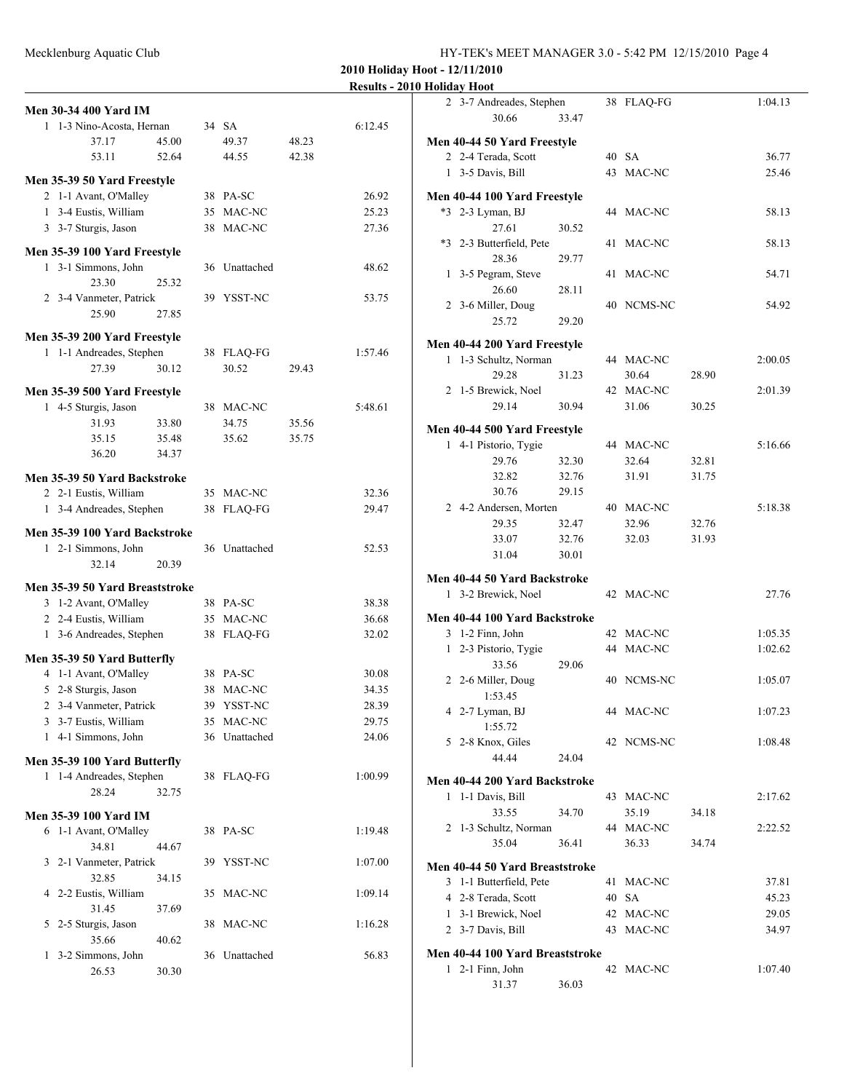| HY-TEK's MEET MANAGER 3.0 - 5:42 PM 12/15/2010 Page 4 |  |
|-------------------------------------------------------|--|
|-------------------------------------------------------|--|

**Results - 2010 Holiday Hoot**

|   | <b>Men 30-34 400 Yard IM</b>                        |       |    |                       |       |                |
|---|-----------------------------------------------------|-------|----|-----------------------|-------|----------------|
|   | 1 1-3 Nino-Acosta, Hernan                           |       |    | 34 SA                 |       | 6:12.45        |
|   | 37.17                                               | 45.00 |    | 49.37                 | 48.23 |                |
|   | 53.11                                               | 52.64 |    | 44.55                 | 42.38 |                |
|   | Men 35-39 50 Yard Freestyle                         |       |    |                       |       |                |
|   | 2 1-1 Avant, O'Malley                               |       |    | 38 PA-SC              |       | 26.92          |
|   | 1 3-4 Eustis, William                               |       |    | 35 MAC-NC             |       | 25.23          |
|   | 3 3-7 Sturgis, Jason                                |       | 38 | MAC-NC                |       | 27.36          |
|   |                                                     |       |    |                       |       |                |
|   | Men 35-39 100 Yard Freestyle<br>1 3-1 Simmons, John |       |    |                       |       | 48.62          |
|   | 23.30                                               | 25.32 |    | 36 Unattached         |       |                |
|   | 2 3-4 Vanmeter, Patrick                             |       |    | 39 YSST-NC            |       | 53.75          |
|   | 25.90                                               | 27.85 |    |                       |       |                |
|   |                                                     |       |    |                       |       |                |
|   | Men 35-39 200 Yard Freestyle                        |       |    |                       |       |                |
|   | 1 1-1 Andreades, Stephen                            |       |    | 38 FLAQ-FG            |       | 1:57.46        |
|   | 27.39                                               | 30.12 |    | 30.52                 | 29.43 |                |
|   | Men 35-39 500 Yard Freestyle                        |       |    |                       |       |                |
|   | 1 4-5 Sturgis, Jason                                |       |    | 38 MAC-NC             |       | 5:48.61        |
|   | 31.93                                               | 33.80 |    | 34.75                 | 35.56 |                |
|   | 35.15                                               | 35.48 |    | 35.62                 | 35.75 |                |
|   | 36.20                                               | 34.37 |    |                       |       |                |
|   | Men 35-39 50 Yard Backstroke                        |       |    |                       |       |                |
|   | 2 2-1 Eustis, William                               |       |    | 35 MAC-NC             |       | 32.36          |
|   | 1 3-4 Andreades, Stephen                            |       | 38 | FLAQ-FG               |       | 29.47          |
|   | Men 35-39 100 Yard Backstroke                       |       |    |                       |       |                |
|   | 1 2-1 Simmons, John                                 |       |    | 36 Unattached         |       | 52.53          |
|   | 32.14                                               | 20.39 |    |                       |       |                |
|   |                                                     |       |    |                       |       |                |
|   | Men 35-39 50 Yard Breaststroke                      |       |    |                       |       |                |
|   | 3 1-2 Avant, O'Malley<br>2 2-4 Eustis, William      |       |    | 38 PA-SC<br>35 MAC-NC |       | 38.38<br>36.68 |
|   | 1 3-6 Andreades, Stephen                            |       | 38 | <b>FLAQ-FG</b>        |       | 32.02          |
|   |                                                     |       |    |                       |       |                |
|   | Men 35-39 50 Yard Butterfly                         |       |    |                       |       |                |
|   | 4 1-1 Avant, O'Malley                               |       |    | 38 PA-SC              |       | 30.08          |
|   | 5 2-8 Sturgis, Jason                                |       | 38 | MAC-NC                |       | 34.35          |
|   | 2 3-4 Vanmeter, Patrick                             |       | 39 | YSST-NC               |       | 28.39          |
|   | 3 3-7 Eustis, William                               |       |    | 35 MAC-NC             |       | 29.75          |
|   | 1 4-1 Simmons, John                                 |       | 36 | Unattached            |       | 24.06          |
|   | Men 35-39 100 Yard Butterfly                        |       |    |                       |       |                |
|   | 1 1-4 Andreades, Stephen                            |       |    | 38 FLAQ-FG            |       | 1:00.99        |
|   | 28.24                                               | 32.75 |    |                       |       |                |
|   | <b>Men 35-39 100 Yard IM</b>                        |       |    |                       |       |                |
|   | 6 1-1 Avant, O'Malley                               |       |    | 38 PA-SC              |       | 1:19.48        |
|   | 34.81                                               | 44.67 |    |                       |       |                |
|   | 3 2-1 Vanmeter, Patrick                             |       | 39 | YSST-NC               |       | 1:07.00        |
|   | 32.85                                               | 34.15 |    |                       |       |                |
|   | 4 2-2 Eustis, William                               |       | 35 | MAC-NC                |       | 1:09.14        |
|   | 31.45                                               | 37.69 |    |                       |       |                |
| 5 | 2-5 Sturgis, Jason                                  |       | 38 | MAC-NC                |       | 1:16.28        |
|   | 35.66                                               | 40.62 |    |                       |       |                |
| 1 | 3-2 Simmons, John                                   |       |    | 36 Unattached         |       | 56.83          |
|   | 26.53                                               | 30.30 |    |                       |       |                |
|   |                                                     |       |    |                       |       |                |

|              | TUMUAY TIVUL                                       |       |    |            |       |         |
|--------------|----------------------------------------------------|-------|----|------------|-------|---------|
|              | 2 3-7 Andreades, Stephen                           |       |    | 38 FLAQ-FG |       | 1:04.13 |
|              | 30.66                                              | 33.47 |    |            |       |         |
|              |                                                    |       |    |            |       |         |
|              | Men 40-44 50 Yard Freestyle<br>2 2-4 Terada, Scott |       |    | 40 SA      |       | 36.77   |
|              | 1 3-5 Davis, Bill                                  |       |    | 43 MAC-NC  |       | 25.46   |
|              |                                                    |       |    |            |       |         |
|              | Men 40-44 100 Yard Freestyle                       |       |    |            |       |         |
|              | *3 2-3 Lyman, BJ                                   |       |    | 44 MAC-NC  |       | 58.13   |
|              | 27.61                                              | 30.52 |    |            |       |         |
|              | *3 2-3 Butterfield, Pete                           |       | 41 | MAC-NC     |       | 58.13   |
|              | 28.36                                              | 29.77 |    |            |       |         |
|              | 1 3-5 Pegram, Steve                                |       | 41 | MAC-NC     |       | 54.71   |
|              | 26.60                                              | 28.11 |    |            |       |         |
|              | 2 3-6 Miller, Doug                                 |       |    | 40 NCMS-NC |       | 54.92   |
|              | 25.72                                              | 29.20 |    |            |       |         |
|              | Men 40-44 200 Yard Freestyle                       |       |    |            |       |         |
|              | 1 1-3 Schultz, Norman                              |       |    | 44 MAC-NC  |       | 2:00.05 |
|              | 29.28                                              | 31.23 |    | 30.64      | 28.90 |         |
|              | 2 1-5 Brewick, Noel                                |       |    | 42 MAC-NC  |       | 2:01.39 |
|              | 29.14                                              | 30.94 |    | 31.06      | 30.25 |         |
|              |                                                    |       |    |            |       |         |
|              | Men 40-44 500 Yard Freestyle                       |       |    |            |       |         |
|              | 1 4-1 Pistorio, Tygie                              |       |    | 44 MAC-NC  |       | 5:16.66 |
|              | 29.76                                              | 32.30 |    | 32.64      | 32.81 |         |
|              | 32.82                                              | 32.76 |    | 31.91      | 31.75 |         |
|              | 30.76                                              | 29.15 |    |            |       |         |
|              | 2 4-2 Andersen, Morten                             |       |    | 40 MAC-NC  |       | 5:18.38 |
|              | 29.35                                              | 32.47 |    | 32.96      | 32.76 |         |
|              | 33.07                                              | 32.76 |    | 32.03      | 31.93 |         |
|              | 31.04                                              | 30.01 |    |            |       |         |
|              | Men 40-44 50 Yard Backstroke                       |       |    |            |       |         |
|              | 1 3-2 Brewick, Noel                                |       |    | 42 MAC-NC  |       | 27.76   |
|              |                                                    |       |    |            |       |         |
|              | Men 40-44 100 Yard Backstroke                      |       |    |            |       |         |
|              | 3 1-2 Finn, John                                   |       |    | 42 MAC-NC  |       | 1:05.35 |
| $\mathbf{1}$ | 2-3 Pistorio, Tygie                                |       |    | 44 MAC-NC  |       | 1:02.62 |
|              | 33.56                                              | 29.06 |    |            |       |         |
|              | 2 2-6 Miller, Doug                                 |       |    | 40 NCMS-NC |       | 1:05.07 |
|              | 1:53.45                                            |       |    |            |       |         |
|              | 4 2-7 Lyman, BJ                                    |       |    | 44 MAC-NC  |       | 1:07.23 |
|              | 1:55.72                                            |       |    |            |       |         |
|              | 5 2-8 Knox, Giles                                  |       |    | 42 NCMS-NC |       | 1:08.48 |
|              | 44.44                                              | 24.04 |    |            |       |         |
|              | Men 40-44 200 Yard Backstroke                      |       |    |            |       |         |
| 1            | 1-1 Davis, Bill                                    |       |    | 43 MAC-NC  |       | 2:17.62 |
|              | 33.55                                              | 34.70 |    | 35.19      | 34.18 |         |
|              | 2 1-3 Schultz, Norman                              |       |    | 44 MAC-NC  |       | 2:22.52 |
|              | 35.04                                              | 36.41 |    | 36.33      | 34.74 |         |
|              |                                                    |       |    |            |       |         |
|              | Men 40-44 50 Yard Breaststroke                     |       |    |            |       |         |
|              | 3 1-1 Butterfield, Pete                            |       | 41 | MAC-NC     |       | 37.81   |
|              | 4 2-8 Terada, Scott                                |       | 40 | <b>SA</b>  |       | 45.23   |
|              | 1 3-1 Brewick, Noel                                |       |    | 42 MAC-NC  |       | 29.05   |
|              | 2 3-7 Davis, Bill                                  |       | 43 | MAC-NC     |       | 34.97   |
|              | Men 40-44 100 Yard Breaststroke                    |       |    |            |       |         |
|              | 1 2-1 Finn, John                                   |       |    | 42 MAC-NC  |       | 1:07.40 |
|              | 31.37                                              | 36.03 |    |            |       |         |
|              |                                                    |       |    |            |       |         |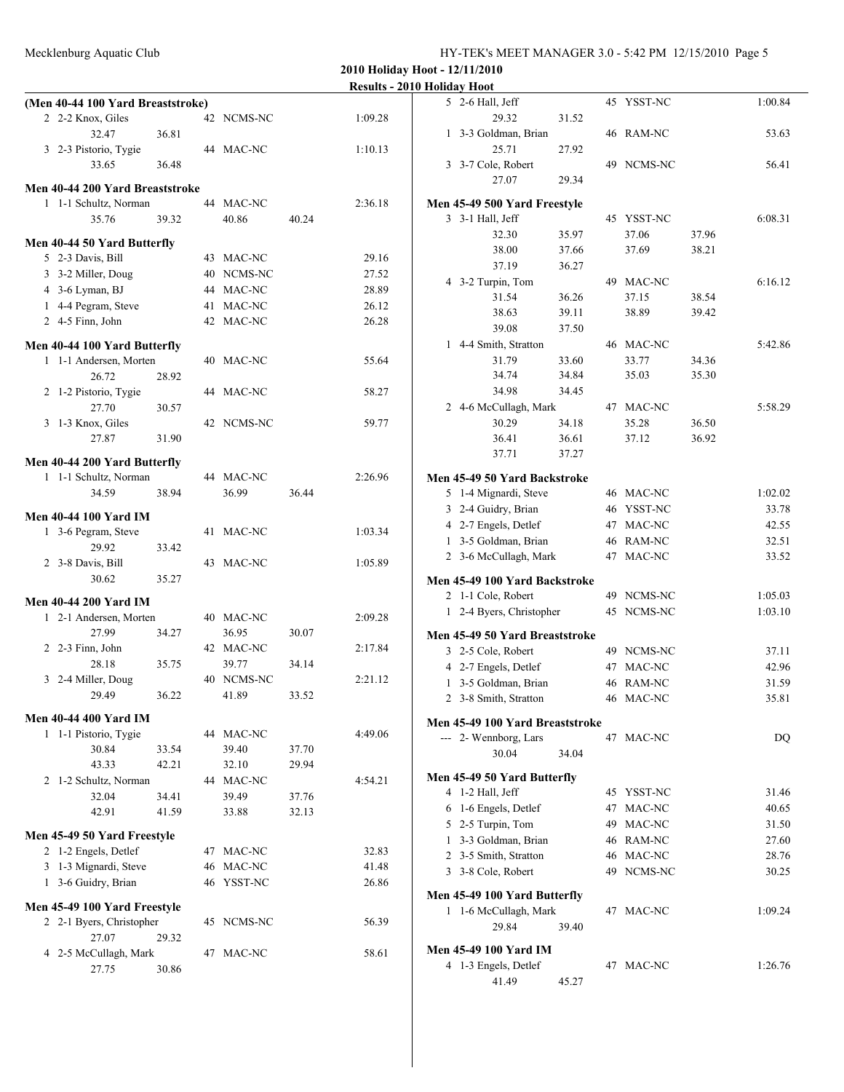Mecklenburg Aquatic Club HY-TEK's MEET MANAGER 3.0 - 5:42 PM 12/15/2010 Page 5

|                                   |       |                    |       |         | <b>Results - 2010 Holiday Hoot</b>           |       |                        |       |                |
|-----------------------------------|-------|--------------------|-------|---------|----------------------------------------------|-------|------------------------|-------|----------------|
| (Men 40-44 100 Yard Breaststroke) |       |                    |       |         | 5 2-6 Hall, Jeff                             |       | 45 YSST-NC             |       | 1:00.84        |
| 2 2-2 Knox, Giles                 |       | 42 NCMS-NC         |       | 1:09.28 | 29.32                                        | 31.52 |                        |       |                |
| 32.47                             | 36.81 |                    |       |         | 1 3-3 Goldman, Brian                         |       | 46 RAM-NC              |       | 53.63          |
| 3 2-3 Pistorio, Tygie             |       | 44 MAC-NC          |       | 1:10.13 | 25.71                                        | 27.92 |                        |       |                |
| 33.65                             | 36.48 |                    |       |         | 3 3-7 Cole, Robert                           |       | 49 NCMS-NC             |       | 56.41          |
| Men 40-44 200 Yard Breaststroke   |       |                    |       |         | 27.07                                        | 29.34 |                        |       |                |
| 1 1-1 Schultz, Norman             |       | 44 MAC-NC          |       | 2:36.18 | Men 45-49 500 Yard Freestyle                 |       |                        |       |                |
| 35.76                             | 39.32 | 40.86              | 40.24 |         | 3 3-1 Hall, Jeff                             |       | 45 YSST-NC             |       | 6:08.31        |
|                                   |       |                    |       |         | 32.30                                        | 35.97 | 37.06                  | 37.96 |                |
| Men 40-44 50 Yard Butterfly       |       |                    |       |         | 38.00                                        | 37.66 | 37.69                  | 38.21 |                |
| 5 2-3 Davis, Bill                 |       | 43 MAC-NC          |       | 29.16   | 37.19                                        | 36.27 |                        |       |                |
| 3 3-2 Miller, Doug                |       | 40 NCMS-NC         |       | 27.52   | 4 3-2 Turpin, Tom                            |       | 49 MAC-NC              |       | 6:16.12        |
| 4 3-6 Lyman, BJ                   |       | 44 MAC-NC          |       | 28.89   | 31.54                                        | 36.26 | 37.15                  | 38.54 |                |
| 1 4-4 Pegram, Steve               |       | 41 MAC-NC          |       | 26.12   | 38.63                                        | 39.11 | 38.89                  | 39.42 |                |
| 2 4-5 Finn, John                  |       | 42 MAC-NC          |       | 26.28   | 39.08                                        | 37.50 |                        |       |                |
| Men 40-44 100 Yard Butterfly      |       |                    |       |         | 1 4-4 Smith, Stratton                        |       | 46 MAC-NC              |       | 5:42.86        |
| 1 1-1 Andersen, Morten            |       | 40 MAC-NC          |       | 55.64   | 31.79                                        | 33.60 | 33.77                  | 34.36 |                |
| 26.72                             | 28.92 |                    |       |         | 34.74                                        | 34.84 | 35.03                  | 35.30 |                |
| 2 1-2 Pistorio, Tygie             |       | 44 MAC-NC          |       | 58.27   | 34.98                                        | 34.45 |                        |       |                |
| 27.70                             | 30.57 |                    |       |         | 2 4-6 McCullagh, Mark                        |       | 47 MAC-NC              |       | 5:58.29        |
| 3 1-3 Knox, Giles                 |       | 42 NCMS-NC         |       | 59.77   | 30.29                                        | 34.18 | 35.28                  | 36.50 |                |
| 27.87                             | 31.90 |                    |       |         | 36.41                                        | 36.61 | 37.12                  | 36.92 |                |
|                                   |       |                    |       |         | 37.71                                        | 37.27 |                        |       |                |
| Men 40-44 200 Yard Butterfly      |       |                    |       |         |                                              |       |                        |       |                |
| 1 1-1 Schultz, Norman<br>34.59    | 38.94 | 44 MAC-NC<br>36.99 | 36.44 | 2:26.96 | Men 45-49 50 Yard Backstroke                 |       | 46 MAC-NC              |       | 1:02.02        |
|                                   |       |                    |       |         | 5 1-4 Mignardi, Steve                        |       | 46 YSST-NC             |       | 33.78          |
| <b>Men 40-44 100 Yard IM</b>      |       |                    |       |         | 3 2-4 Guidry, Brian                          |       |                        |       |                |
| 1 3-6 Pegram, Steve               |       | 41 MAC-NC          |       | 1:03.34 | 4 2-7 Engels, Detlef<br>1 3-5 Goldman, Brian |       | 47 MAC-NC<br>46 RAM-NC |       | 42.55<br>32.51 |
| 29.92                             | 33.42 |                    |       |         | 2 3-6 McCullagh, Mark                        |       | 47 MAC-NC              |       | 33.52          |
| 2 3-8 Davis, Bill                 |       | 43 MAC-NC          |       | 1:05.89 |                                              |       |                        |       |                |
| 30.62                             | 35.27 |                    |       |         | Men 45-49 100 Yard Backstroke                |       |                        |       |                |
| <b>Men 40-44 200 Yard IM</b>      |       |                    |       |         | 2 1-1 Cole, Robert                           |       | 49 NCMS-NC             |       | 1:05.03        |
| 1 2-1 Andersen, Morten            |       | 40 MAC-NC          |       | 2:09.28 | 1 2-4 Byers, Christopher                     |       | 45 NCMS-NC             |       | 1:03.10        |
| 27.99                             | 34.27 | 36.95              | 30.07 |         | Men 45-49 50 Yard Breaststroke               |       |                        |       |                |
| 2 2-3 Finn, John                  |       | 42 MAC-NC          |       | 2:17.84 | 3 2-5 Cole, Robert                           |       | 49 NCMS-NC             |       | 37.11          |
| 28.18                             | 35.75 | 39.77              | 34.14 |         | 4 2-7 Engels, Detlef                         |       | 47 MAC-NC              |       | 42.96          |
| 3 2-4 Miller, Doug                |       | 40 NCMS-NC         |       | 2:21.12 | 1 3-5 Goldman, Brian                         |       | 46 RAM-NC              |       | 31.59          |
| 29.49                             | 36.22 | 41.89              | 33.52 |         | 2 3-8 Smith, Stratton                        |       | 46 MAC-NC              |       | 35.81          |
| <b>Men 40-44 400 Yard IM</b>      |       |                    |       |         |                                              |       |                        |       |                |
| 1 1-1 Pistorio, Tygie             |       | 44 MAC-NC          |       | 4:49.06 | Men 45-49 100 Yard Breaststroke              |       |                        |       |                |
| 30.84                             | 33.54 | 39.40              | 37.70 |         | --- 2- Wennborg, Lars                        |       | 47 MAC-NC              |       | DQ             |
| 43.33                             | 42.21 | 32.10              | 29.94 |         | 30.04                                        | 34.04 |                        |       |                |
| 2 1-2 Schultz, Norman             |       | 44 MAC-NC          |       | 4:54.21 | Men 45-49 50 Yard Butterfly                  |       |                        |       |                |
| 32.04                             | 34.41 | 39.49              | 37.76 |         | 4 1-2 Hall, Jeff                             |       | 45 YSST-NC             |       | 31.46          |
| 42.91                             | 41.59 | 33.88              | 32.13 |         | 6 1-6 Engels, Detlef                         |       | 47 MAC-NC              |       | 40.65          |
|                                   |       |                    |       |         | 5 2-5 Turpin, Tom                            |       | 49 MAC-NC              |       | 31.50          |
| Men 45-49 50 Yard Freestyle       |       |                    |       |         | 1 3-3 Goldman, Brian                         |       | 46 RAM-NC              |       | 27.60          |
| 2 1-2 Engels, Detlef              |       | 47 MAC-NC          |       | 32.83   | 2 3-5 Smith, Stratton                        |       | 46 MAC-NC              |       | 28.76          |
| 3 1-3 Mignardi, Steve             |       | 46 MAC-NC          |       | 41.48   | 3 3-8 Cole, Robert                           |       | 49 NCMS-NC             |       | 30.25          |
| 1 3-6 Guidry, Brian               |       | 46 YSST-NC         |       | 26.86   | Men 45-49 100 Yard Butterfly                 |       |                        |       |                |
| Men 45-49 100 Yard Freestyle      |       |                    |       |         | 1 1-6 McCullagh, Mark                        |       | 47 MAC-NC              |       | 1:09.24        |
| 2 2-1 Byers, Christopher          |       | 45 NCMS-NC         |       | 56.39   | 29.84                                        | 39.40 |                        |       |                |
| 27.07                             | 29.32 |                    |       |         |                                              |       |                        |       |                |
| 4 2-5 McCullagh, Mark             |       | 47 MAC-NC          |       | 58.61   | Men 45-49 100 Yard IM                        |       |                        |       |                |
| 27.75                             | 30.86 |                    |       |         | 4 1-3 Engels, Detlef                         |       | 47 MAC-NC              |       | 1:26.76        |
|                                   |       |                    |       |         | 41.49                                        | 45.27 |                        |       |                |
|                                   |       |                    |       |         |                                              |       |                        |       |                |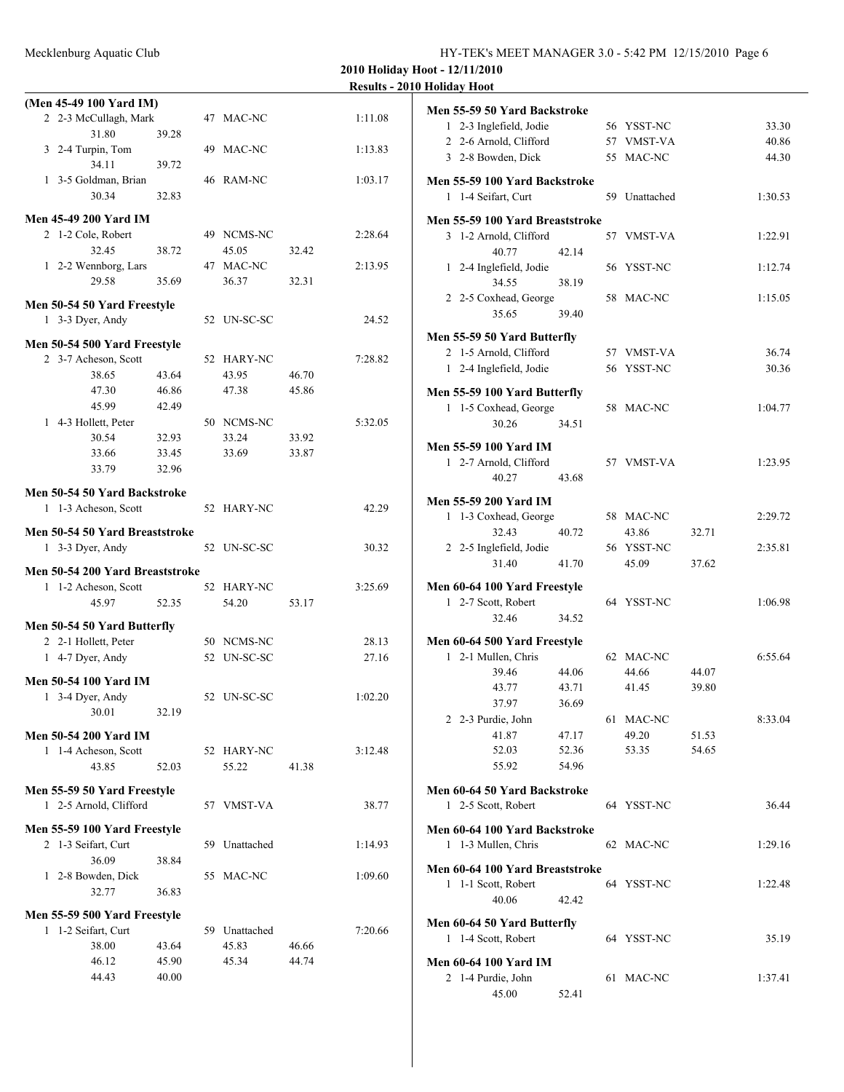|  | HY-TEK's MEET MANAGER 3.0 - 5:42 PM 12/15/2010 Page 6 |  |  |  |  |
|--|-------------------------------------------------------|--|--|--|--|
|--|-------------------------------------------------------|--|--|--|--|

**2010 Holiday Hoot - 12/11/2010 2010 Holiday Hoot** 

|   |                                 |       |               |       | <b>Results - 2</b> |
|---|---------------------------------|-------|---------------|-------|--------------------|
|   | (Men 45-49 100 Yard IM)         |       |               |       |                    |
|   | 2 2-3 McCullagh, Mark           |       | 47 MAC-NC     |       | 1:11.08            |
|   | 31.80                           | 39.28 |               |       |                    |
|   | 3 2-4 Turpin, Tom               |       | 49 MAC-NC     |       | 1:13.83            |
|   | 34.11                           | 39.72 |               |       |                    |
|   |                                 |       |               |       |                    |
|   | 1 3-5 Goldman, Brian            |       | 46 RAM-NC     |       | 1:03.17            |
|   | 30.34                           | 32.83 |               |       |                    |
|   | Men 45-49 200 Yard IM           |       |               |       |                    |
|   | 2 1-2 Cole, Robert              |       | 49 NCMS-NC    |       | 2:28.64            |
|   | 32.45                           | 38.72 | 45.05         | 32.42 |                    |
|   |                                 |       |               |       |                    |
|   | 1 2-2 Wennborg, Lars            |       | 47 MAC-NC     |       | 2:13.95            |
|   | 29.58                           | 35.69 | 36.37         | 32.31 |                    |
|   | Men 50-54 50 Yard Freestyle     |       |               |       |                    |
|   | 1 3-3 Dyer, Andy                |       | 52 UN-SC-SC   |       | 24.52              |
|   |                                 |       |               |       |                    |
|   | Men 50-54 500 Yard Freestyle    |       |               |       |                    |
|   | 2 3-7 Acheson, Scott            |       | 52 HARY-NC    |       | 7:28.82            |
|   | 38.65                           | 43.64 | 43.95         | 46.70 |                    |
|   | 47.30                           | 46.86 | 47.38         | 45.86 |                    |
|   | 45.99                           | 42.49 |               |       |                    |
|   |                                 |       |               |       |                    |
|   | 1 4-3 Hollett, Peter            |       | 50 NCMS-NC    |       | 5:32.05            |
|   | 30.54                           | 32.93 | 33.24         | 33.92 |                    |
|   | 33.66                           | 33.45 | 33.69         | 33.87 |                    |
|   | 33.79                           | 32.96 |               |       |                    |
|   |                                 |       |               |       |                    |
|   | Men 50-54 50 Yard Backstroke    |       |               |       |                    |
|   | 1 1-3 Acheson, Scott            |       | 52 HARY-NC    |       | 42.29              |
|   | Men 50-54 50 Yard Breaststroke  |       |               |       |                    |
|   | 1 3-3 Dyer, Andy                |       | 52 UN-SC-SC   |       | 30.32              |
|   |                                 |       |               |       |                    |
|   | Men 50-54 200 Yard Breaststroke |       |               |       |                    |
|   | 1 1-2 Acheson, Scott            |       | 52 HARY-NC    |       | 3:25.69            |
|   | 45.97                           | 52.35 | 54.20         | 53.17 |                    |
|   |                                 |       |               |       |                    |
|   | Men 50-54 50 Yard Butterfly     |       |               |       |                    |
|   | 2 2-1 Hollett, Peter            |       | 50 NCMS-NC    |       | 28.13              |
| 1 | 4-7 Dyer, Andy                  |       | 52 UN-SC-SC   |       | 27.16              |
|   |                                 |       |               |       |                    |
|   | Men 50-54 100 Yard IM           |       |               |       |                    |
|   | 1 3-4 Dyer, Andy                |       | 52 UN-SC-SC   |       | 1:02.20            |
|   | 30.01                           | 32.19 |               |       |                    |
|   |                                 |       |               |       |                    |
|   | Men 50-54 200 Yard IM           |       |               |       |                    |
|   | 1 1-4 Acheson, Scott            |       | 52 HARY-NC    |       | 3:12.48            |
|   | 43.85                           | 52.03 | 55.22         | 41.38 |                    |
|   | Men 55-59 50 Yard Freestyle     |       |               |       |                    |
|   | 1 2-5 Arnold, Clifford          |       | 57 VMST-VA    |       | 38.77              |
|   |                                 |       |               |       |                    |
|   | Men 55-59 100 Yard Freestyle    |       |               |       |                    |
|   | 2 1-3 Seifart, Curt             |       | 59 Unattached |       | 1:14.93            |
|   | 36.09                           | 38.84 |               |       |                    |
|   | 1 2-8 Bowden, Dick              |       | 55 MAC-NC     |       | 1:09.60            |
|   |                                 |       |               |       |                    |
|   | 32.77                           | 36.83 |               |       |                    |
|   | Men 55-59 500 Yard Freestyle    |       |               |       |                    |
|   | 1 1-2 Seifart, Curt             |       | 59 Unattached |       | 7:20.66            |
|   | 38.00                           | 43.64 | 45.83         | 46.66 |                    |
|   | 46.12                           | 45.90 | 45.34         | 44.74 |                    |
|   |                                 |       |               |       |                    |
|   | 44.43                           | 40.00 |               |       |                    |
|   |                                 |       |               |       |                    |

|              | Men 55-59 50 Yard Backstroke                          |       |               |       |         |
|--------------|-------------------------------------------------------|-------|---------------|-------|---------|
|              | 1 2-3 Inglefield, Jodie<br>2 2-6 Arnold, Clifford     |       | 56 YSST-NC    |       | 33.30   |
|              |                                                       |       | 57 VMST-VA    |       | 40.86   |
|              | 3 2-8 Bowden, Dick                                    |       | 55 MAC-NC     |       | 44.30   |
|              | Men 55-59 100 Yard Backstroke                         |       |               |       |         |
|              | 1 1-4 Seifart, Curt                                   |       | 59 Unattached |       | 1:30.53 |
|              | Men 55-59 100 Yard Breaststroke                       |       |               |       |         |
|              | 3 1-2 Arnold, Clifford                                |       | 57 VMST-VA    |       | 1:22.91 |
|              | 40.77                                                 | 42.14 |               |       |         |
|              | 1 2-4 Inglefield, Jodie                               |       | 56 YSST-NC    |       | 1:12.74 |
|              | 34.55                                                 | 38.19 |               |       |         |
|              | 2 2-5 Coxhead, George                                 |       | 58 MAC-NC     |       | 1:15.05 |
|              | 35.65                                                 | 39.40 |               |       |         |
|              | Men 55-59 50 Yard Butterfly                           |       |               |       |         |
|              | 2 1-5 Arnold, Clifford                                |       | 57 VMST-VA    |       | 36.74   |
| $\mathbf{1}$ | 2-4 Inglefield, Jodie                                 |       | 56 YSST-NC    |       | 30.36   |
|              |                                                       |       |               |       |         |
|              | Men 55-59 100 Yard Butterfly<br>1 1-5 Coxhead, George |       | 58 MAC-NC     |       | 1:04.77 |
|              | 30.26                                                 | 34.51 |               |       |         |
|              |                                                       |       |               |       |         |
|              | <b>Men 55-59 100 Yard IM</b>                          |       |               |       |         |
|              | 1 2-7 Arnold, Clifford                                |       | 57 VMST-VA    |       | 1:23.95 |
|              | 40.27                                                 | 43.68 |               |       |         |
|              | <b>Men 55-59 200 Yard IM</b>                          |       |               |       |         |
|              | 1 1-3 Coxhead, George                                 |       | 58 MAC-NC     |       | 2:29.72 |
|              | 32.43                                                 | 40.72 | 43.86         | 32.71 |         |
|              | 2 2-5 Inglefield, Jodie                               |       | 56 YSST-NC    |       | 2:35.81 |
|              | 31.40                                                 | 41.70 | 45.09         | 37.62 |         |
|              | Men 60-64 100 Yard Freestyle                          |       |               |       |         |
|              | 1 2-7 Scott, Robert                                   |       | 64 YSST-NC    |       | 1:06.98 |
|              | 32.46                                                 | 34.52 |               |       |         |
|              | Men 60-64 500 Yard Freestyle                          |       |               |       |         |
|              | 1 2-1 Mullen, Chris                                   |       | 62 MAC-NC     |       | 6:55.64 |
|              | 39.46                                                 | 44.06 | 44.66         | 44.07 |         |
|              | 43.77                                                 | 43.71 | 41.45         | 39.80 |         |
|              | 37.97                                                 | 36.69 |               |       |         |
|              | 2 2-3 Purdie, John                                    |       | 61 MAC-NC     |       | 8:33.04 |
|              | 41.87                                                 | 47.17 | 49.20         | 51.53 |         |
|              | 52.03                                                 | 52.36 | 53.35         | 54.65 |         |
|              | 55.92                                                 | 54.96 |               |       |         |
|              | Men 60-64 50 Yard Backstroke                          |       |               |       |         |
|              | 1 2-5 Scott, Robert                                   |       | 64 YSST-NC    |       | 36.44   |
|              | Men 60-64 100 Yard Backstroke                         |       |               |       |         |
|              | 1 1-3 Mullen, Chris                                   |       | 62 MAC-NC     |       | 1:29.16 |
|              |                                                       |       |               |       |         |
|              | Men 60-64 100 Yard Breaststroke                       |       |               |       |         |
| 1            | 1-1 Scott, Robert                                     |       | 64 YSST-NC    |       | 1:22.48 |
|              | 40.06                                                 | 42.42 |               |       |         |
|              | Men 60-64 50 Yard Butterfly                           |       |               |       |         |
|              | 1 1-4 Scott, Robert                                   |       | 64 YSST-NC    |       | 35.19   |
|              | Men 60-64 100 Yard IM                                 |       |               |       |         |
|              | 2 1-4 Purdie, John                                    |       | 61 MAC-NC     |       | 1:37.41 |
|              | 45.00                                                 | 52.41 |               |       |         |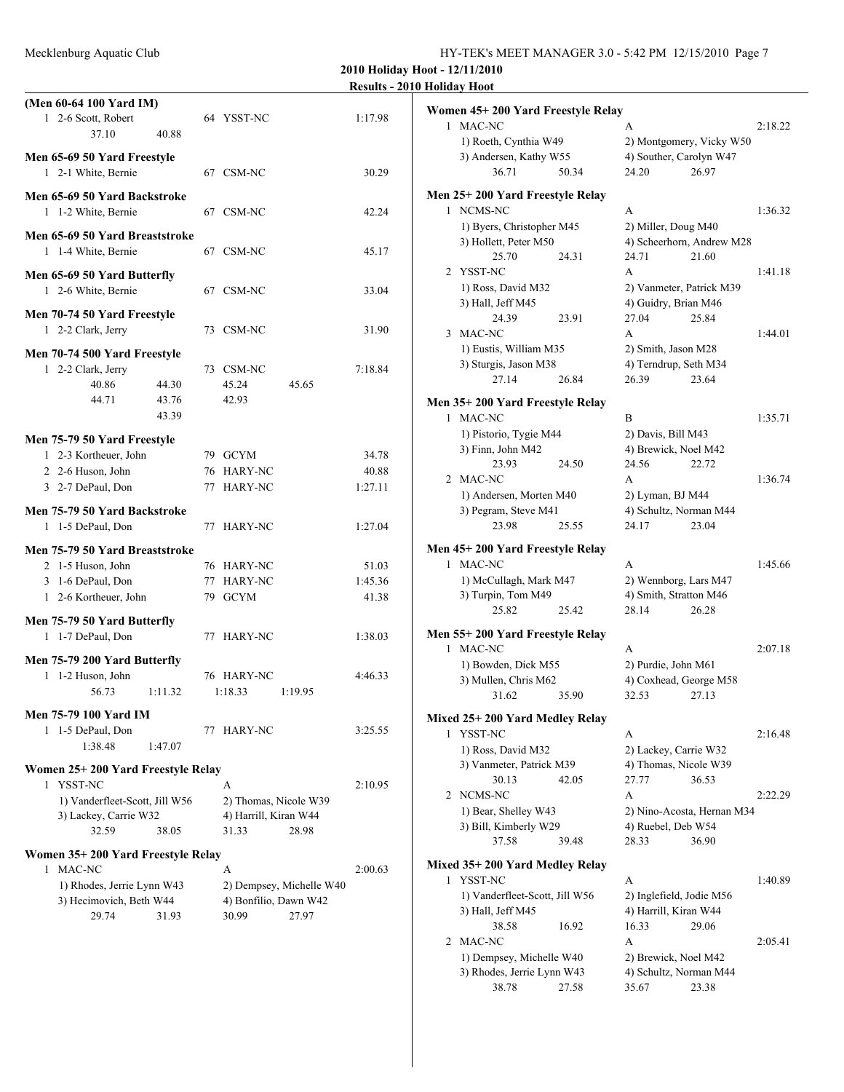Mecklenburg Aquatic Club HY-TEK's MEET MANAGER 3.0 - 5:42 PM 12/15/2010 Page 7

38.78 27.58 35.67 23.38

1:36.32

 $1:41.18$ 

1:36.74

 $2:16.48$ 

 $2:22.29$ 

**2010 Holiday Hoot - 12/11/2010 Results - 2010 Holiday Hoot**

| (Men 60-64 100 Yard IM)<br>1 2-6 Scott, Robert       |         | 64 YSST-NC            |                          | 1:17.98 | Women 45+200 Yard Freestyle Relay                  |       |                        |                                                     |         |
|------------------------------------------------------|---------|-----------------------|--------------------------|---------|----------------------------------------------------|-------|------------------------|-----------------------------------------------------|---------|
| 37.10                                                | 40.88   |                       |                          |         | 1 MAC-NC<br>1) Roeth, Cynthia W49                  |       | A                      |                                                     | 2:18.22 |
| Men 65-69 50 Yard Freestyle                          |         |                       |                          |         | 3) Andersen, Kathy W55                             |       |                        | 2) Montgomery, Vicky W50<br>4) Souther, Carolyn W47 |         |
| 1 2-1 White, Bernie                                  |         | 67 CSM-NC             |                          | 30.29   | 36.71                                              | 50.34 | 24.20                  | 26.97                                               |         |
|                                                      |         |                       |                          |         |                                                    |       |                        |                                                     |         |
| Men 65-69 50 Yard Backstroke                         |         |                       |                          |         | Men 25+200 Yard Freestyle Relay                    |       |                        |                                                     |         |
| 1 1-2 White, Bernie                                  |         | 67 CSM-NC             |                          | 42.24   | 1 NCMS-NC                                          |       | A                      |                                                     | 1:36.32 |
| Men 65-69 50 Yard Breaststroke                       |         |                       |                          |         | 1) Byers, Christopher M45<br>3) Hollett, Peter M50 |       | 2) Miller, Doug M40    | 4) Scheerhorn, Andrew M28                           |         |
| 1 1-4 White, Bernie                                  |         | 67 CSM-NC             |                          | 45.17   | 25.70                                              | 24.31 | 24.71                  | 21.60                                               |         |
| Men 65-69 50 Yard Butterfly                          |         |                       |                          |         | 2 YSST-NC                                          |       | A                      |                                                     | 1:41.18 |
| 1 2-6 White, Bernie                                  |         | 67 CSM-NC             |                          | 33.04   | 1) Ross, David M32                                 |       |                        | 2) Vanmeter, Patrick M39                            |         |
|                                                      |         |                       |                          |         | 3) Hall, Jeff M45                                  |       | 4) Guidry, Brian M46   |                                                     |         |
| Men 70-74 50 Yard Freestyle                          |         |                       |                          |         | 24.39                                              | 23.91 | 27.04                  | 25.84                                               |         |
| 1 2-2 Clark, Jerry                                   |         | 73 CSM-NC             |                          | 31.90   | 3 MAC-NC                                           |       | A                      |                                                     | 1:44.01 |
| Men 70-74 500 Yard Freestyle                         |         |                       |                          |         | 1) Eustis, William M35                             |       | 2) Smith, Jason M28    |                                                     |         |
| 1 2-2 Clark, Jerry                                   |         | 73 CSM-NC             |                          | 7:18.84 | 3) Sturgis, Jason M38                              |       | 4) Terndrup, Seth M34  |                                                     |         |
| 40.86                                                | 44.30   | 45.24                 | 45.65                    |         | 27.14                                              | 26.84 | 26.39                  | 23.64                                               |         |
| 44.71                                                | 43.76   | 42.93                 |                          |         | Men 35+200 Yard Freestyle Relay                    |       |                        |                                                     |         |
|                                                      | 43.39   |                       |                          |         | 1 MAC-NC                                           |       | B                      |                                                     | 1:35.71 |
|                                                      |         |                       |                          |         | 1) Pistorio, Tygie M44                             |       | 2) Davis, Bill M43     |                                                     |         |
| Men 75-79 50 Yard Freestyle<br>1 2-3 Kortheuer, John |         | 79 GCYM               |                          | 34.78   | 3) Finn, John M42                                  |       | 4) Brewick, Noel M42   |                                                     |         |
| 2 2-6 Huson, John                                    |         | 76 HARY-NC            |                          | 40.88   | 23.93                                              | 24.50 | 24.56                  | 22.72                                               |         |
| 3 2-7 DePaul, Don                                    |         | 77 HARY-NC            |                          | 1:27.11 | 2 MAC-NC                                           |       | A                      |                                                     | 1:36.74 |
|                                                      |         |                       |                          |         | 1) Andersen, Morten M40                            |       | 2) Lyman, BJ M44       |                                                     |         |
| Men 75-79 50 Yard Backstroke                         |         |                       |                          |         | 3) Pegram, Steve M41                               |       |                        | 4) Schultz, Norman M44                              |         |
| 1 1-5 DePaul, Don                                    |         | 77 HARY-NC            |                          | 1:27.04 | 23.98                                              | 25.55 | 24.17                  | 23.04                                               |         |
| Men 75-79 50 Yard Breaststroke                       |         |                       |                          |         | Men 45+200 Yard Freestyle Relay                    |       |                        |                                                     |         |
| 2 1-5 Huson, John                                    |         | 76 HARY-NC            |                          | 51.03   | 1 MAC-NC                                           |       | A                      |                                                     | 1:45.66 |
| 3 1-6 DePaul, Don                                    |         | 77 HARY-NC            |                          | 1:45.36 | 1) McCullagh, Mark M47                             |       |                        | 2) Wennborg, Lars M47                               |         |
| 1 2-6 Kortheuer, John                                |         | 79 GCYM               |                          | 41.38   | 3) Turpin, Tom M49                                 |       | 4) Smith, Stratton M46 |                                                     |         |
| Men 75-79 50 Yard Butterfly                          |         |                       |                          |         | 25.82                                              | 25.42 | 28.14                  | 26.28                                               |         |
| 1 1-7 DePaul, Don                                    |         | 77 HARY-NC            |                          | 1:38.03 | Men 55+200 Yard Freestyle Relay                    |       |                        |                                                     |         |
|                                                      |         |                       |                          |         | 1 MAC-NC                                           |       | A                      |                                                     | 2:07.18 |
| Men 75-79 200 Yard Butterfly                         |         |                       |                          |         | 1) Bowden, Dick M55                                |       | 2) Purdie, John M61    |                                                     |         |
| 1 1-2 Huson, John                                    |         | 76 HARY-NC            |                          | 4:46.33 | 3) Mullen, Chris M62                               |       |                        | 4) Coxhead, George M58                              |         |
| 56.73                                                | 1:11.32 | 1:18.33               | 1:19.95                  |         | 31.62                                              | 35.90 | 32.53                  | 27.13                                               |         |
| Men 75-79 100 Yard IM                                |         |                       |                          |         | Mixed 25+200 Yard Medley Relay                     |       |                        |                                                     |         |
| 1 1-5 DePaul, Don                                    |         | 77 HARY-NC            |                          | 3:25.55 | 1 YSST-NC                                          |       | A                      |                                                     | 2:16.48 |
| 1:38.48                                              | 1:47.07 |                       |                          |         | 1) Ross, David M32                                 |       | 2) Lackey, Carrie W32  |                                                     |         |
| Women 25+200 Yard Freestyle Relay                    |         |                       |                          |         | 3) Vanmeter, Patrick M39                           |       |                        | 4) Thomas, Nicole W39                               |         |
| 1 YSST-NC                                            |         | A                     |                          | 2:10.95 | 30.13                                              | 42.05 | 27.77                  | 36.53                                               |         |
| 1) Vanderfleet-Scott, Jill W56                       |         | 2) Thomas, Nicole W39 |                          |         | 2 NCMS-NC                                          |       | A                      |                                                     | 2:22.29 |
| 3) Lackey, Carrie W32                                |         | 4) Harrill, Kiran W44 |                          |         | 1) Bear, Shelley W43                               |       |                        | 2) Nino-Acosta, Hernan M34                          |         |
| 32.59                                                | 38.05   | 31.33                 | 28.98                    |         | 3) Bill, Kimberly W29                              |       | 4) Ruebel, Deb W54     |                                                     |         |
| Women 35+200 Yard Freestyle Relay                    |         |                       |                          |         | 37.58                                              | 39.48 | 28.33                  | 36.90                                               |         |
| 1 MAC-NC                                             |         | A                     |                          | 2:00.63 | Mixed 35+200 Yard Medley Relay                     |       |                        |                                                     |         |
| 1) Rhodes, Jerrie Lynn W43                           |         |                       | 2) Dempsey, Michelle W40 |         | 1 YSST-NC                                          |       | A                      |                                                     | 1:40.89 |
| 3) Hecimovich, Beth W44                              |         | 4) Bonfilio, Dawn W42 |                          |         | 1) Vanderfleet-Scott, Jill W56                     |       |                        | 2) Inglefield, Jodie M56                            |         |
| 29.74                                                | 31.93   | 30.99                 | 27.97                    |         | 3) Hall, Jeff M45                                  |       | 4) Harrill, Kiran W44  |                                                     |         |
|                                                      |         |                       |                          |         | 38.58                                              | 16.92 | 16.33                  | 29.06                                               |         |
|                                                      |         |                       |                          |         | 2 MAC-NC                                           |       | A                      |                                                     | 2:05.41 |
|                                                      |         |                       |                          |         | 1) Dempsey, Michelle W40                           |       | 2) Brewick, Noel M42   |                                                     |         |
|                                                      |         |                       |                          |         | 3) Rhodes, Jerrie Lynn W43<br>38.78                | 27.58 | 35.67                  | 4) Schultz, Norman M44<br>23.38                     |         |
|                                                      |         |                       |                          |         |                                                    |       |                        |                                                     |         |